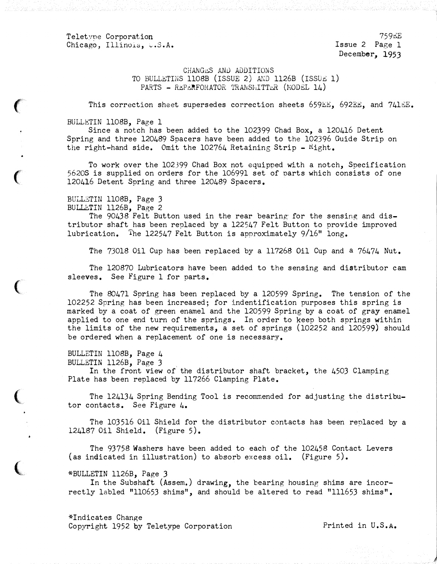Teletyne Corporation Chicago, Illinois, U.S.A.

759�E Issue 2 Page l December, 1953

CHANGES AND ADDITIONS TO BULL�TINS ll08B (ISSUE 2) M�D ll26B (ISSU� 1) PARTS - REPERFOHATOR 1'RANSHITTER (MODEL 14)

This correction sheet supersedes correction sheets 659EE, 692EE, and 741EE.

## BULLETIN ll08B, Page 1

Since a notch has been added to the 102399 Chad Box, a 120416 Detent Spring and three 120489 Spacers have been added to the 102396 Guide Strip on the right-hand side. Omit the  $102764$  Retaining Strip -  $Right$ .

To work over the 102399 Chad Box not equipped with a notch, Specification 5620S is supplied on orders for the 106991 set of parts which consists of one 120416 Detent Spring and three 120489 Spacers.

BULLETIN 1108B, Page 3 BULLETIN 1126B, Page 2

 $\epsilon$ 

(

 $\big($ 

 $\big($ 

The 90438 Felt Button used in the rear bearing· for the sensing and distributor shaft has been replaced by a 122547 Felt Button to provide improved lubrication. The 122547 Felt Button is approximately 9/16" long.

The 73018 Oil Cup has been replaced by a 117268 Oil Cup and a 76474 Nut.

The 120870 Lubricators have been added to the sensing and distributor cam sleeves. See Figure 1 for parts.

The 80471 Spring has been replaced by a 120599 Spring. The tension of the 102252 Spring has been increased; for indentification purposes this spring is marked by a coat of green enamel and the 120599 Spring by a coat of gray enamel applied to one end turn of the springs. In order to keep both springs within the limits of the new requirements, a set of springs (102252 and 120599) should be ordered when a replacement of one is necessary.

BULLETIN ll08B, Page 4 BULLETIN ll26B, Page 3

In the front view of the distributor shaft bracket, the 4503 Clamping Plate has been replaced by 117266 Clamping Plate.

The  $124134$  Spring Bending Tool is recommended for adjusting the distributor contacts. See Figure 4.

The 103516 Oil Shield for the distributor contacts has been renlaced by a 124187 Oil Shield. (Figure 5).

The 93758 Washers have been added to each of the 102458 Contact Levers (as indicated in illustration) to absorb excess oil. (Figure 5).

\*BULLETIN ll26B, Page 3

In the Subshaft (Assem.) drawing, the bearing housing shims are incorrectly labled "110653 shims", and should be altered to read "111653 shims".

\*Indicates Change Copyright 1952 by Teletype Corporation Printed in U.S.A.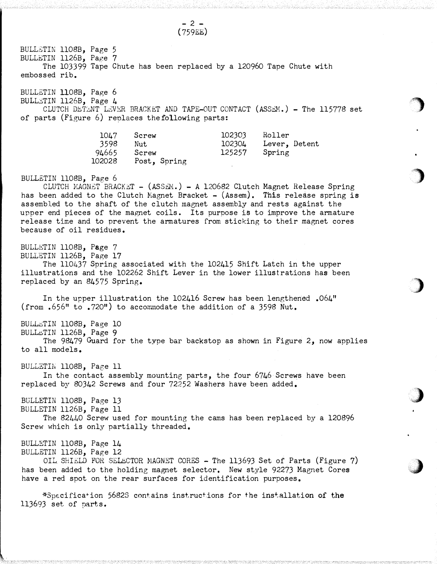BULL�TIN ll08B, Page 5 BULLBTIN ll26B, Page 7 (759EE) The 103399 Tape Chute has been replaced by a 120960 Tape Chute with embossed rib. BULLETIN 1108B, Page 6 BULLETIN 1126B, Page 4<br>CLUTCH DETENT LEVER BRACKET AND TAPE-OUT CONTACT (ASSEM.) - The 115778 set of parts (Figure 6) reolaces thefollowing parts: 1047 3598 94665 102028 BULLETIN ll08B, Page 6 Screw Nut Screw Post, Spring 102303 102304 125257 Roller Lever, Detent Spring CLUTCH MAGNET BRACKET - (ASSEM.) - A 120682 Clutch Magnet Release Spring has been added to the Clutch Magnet Bracket  $-$  (Assem). This release spring is assembled to the shaft of the clutch magnet assembly and rests against the upper end pieces of the magnet coils. Its purpose is to improve the armature release time and to prevent the armatures from sticking to their magnet cores because of oil residues. BULLETIN ll08B, Page 7 BULLETIN ll26B, Page 17 The 110437 Spring associated with the 102415 Shift Latch in the upper illustrations and the 102262 Shift Lever in the lower illustrations has been replaced by an 84575 Spring. In the upper illustration the 102416 Screw has been lengthened .064" (from  $.656"$  to  $.720"$ ) to accommodate the addition of a 3598 Nut. BULl��TIN ll08B, Page 10 BUL�TIN ll26B, Page 9 The 98479 Guard for the type bar backstop as shown in Figure 2, now applies to all models. BULLETIN 1108B, Page 11 In the contact assembly mounting parts, the four 6746 Screws have been replaced by 80342 Screws and four 72252 Washers have been added. BULLETIN ll08B, Page 13 BULLETIN ll26B, Page 11 The 82440 Screw used for mounting the cams has been replaced by a 120896 Screw which is only partially threaded. BULLETIN ll08B, Page 14 BULLETIN ll26B, Page 12 OIL SHIELD FOR SELECTOR MAGNET CORES - The 113693 Set of Parts (Figure 7) has been added to the holding magnet selector. New style 92273 Magnet Cores have a red spot on the rear surfaces for identification purposes.

- 2 -

·�

)

)

 $\big)$ 

.�

\*Specifica+ ion 5682S contains instructions for the ins+,allation of the 113693 set of parts.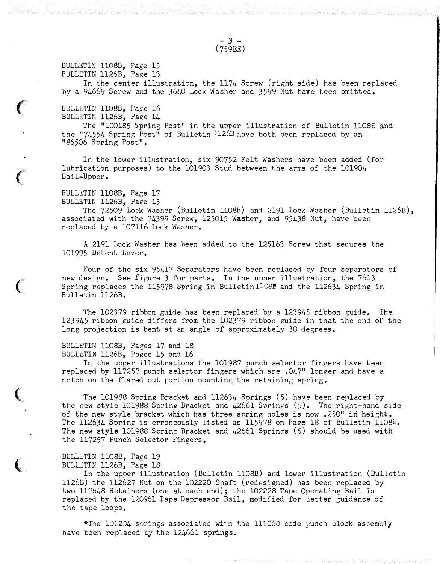BULL��IN ll08B, Page 15 BULLETIN ll26B, Page 13

In the center illustration, the 1174 Screw (right side) has been replaced by a 94669 Screw and the 3640 Lock Washer and 3599 Nut have been omitted.

BULLETIN 1108B, Page 16 BULLETIN ll26B, Page 14

 $\big($ 

 $\big($ 

 $\big($ 

 $\big($ 

 $\big($ 

The "100185 Spring Post" in the upper illustration of Bulletin 1108B and the "74554 Spring Post" of Bulletin 1126B have both been replaced by an "86506 Spring Post".

In the lower illustration, six 90752 Felt Washers have been added (for lubrication purposes) to the 101903 Stud between the arms of the 101904 Bail-Upper.

## BULL�TIN ll08B, Page 17

BULLETIN 1126B, Page 15

The 72509 Lock Washer (Bulletin ll08B) and 2191 Lock Washer (Bulletin ll26B), associated with the 74399 Screw, 125015 Washer, and 95438 Nut, have been replaced by a 107116 Lock Washer.

A 2191 Lock Washer has been added to the 125163 Screw that secures the 101995 Detent Lever.

Four of the six 95417 Separators have been replaced by four separators of new design. See Figure 3 for parts. In the unner illustration, the 7603 Spring replaces the 115978 Spring in Bulletin 1108B and the 112634 Spring in Bulletin ll26B.

The 102379 ribbon guide has been replaced by a 123945 ribbon guide. The 123945 ribbon guide differs from the 102379 ribbon guide in that the end of the long projection is bent at an angle of approximately 30 degrees.

## BULL�TIN ll08B, Pages 17 and 18 BULLETIN 1126B, Pages 15 and 16

In the upper illustrations the 101987 punch selector fingers have been replaced by 117257 punch selector fingers which are .047" longer and have a notch on the flared out portion mounting the retaining spring.

The 101988 Spring Bracket and 112634 Springs (5) have been replaced by the new style 101988 Spring Bracket and  $42661$  Springs  $(5)$ . The right-hand side of the new style bracket which has three spring holes is now .250" in height. The 112634 Spring is erroneously listed as 115978 on Page 18 of Bulletin 1108B. The new style 101988 Spring Bracket and 42661 Springs (5) should be used with the 117257 Punch Selector Fingers.

## BULL�TIN 1108B, Page 19 BULLETIN 1126B. Page 18

In the upper illustration (Bulletin ll08B) and lower illustration (Bulletin ll26B) the 112627 Nut on the 102220 Shaft (redesigned) has been replaced by two 119648 Retainers (one �t each end); the 102228 Tape Operating Bail is replaced by the 120961 Tape Depressor Bail, modified for better guidance of the tape loops.

\*The  $102204$  springs associated with the 111060 code punch block assembly have been replaced by the 124661 springs.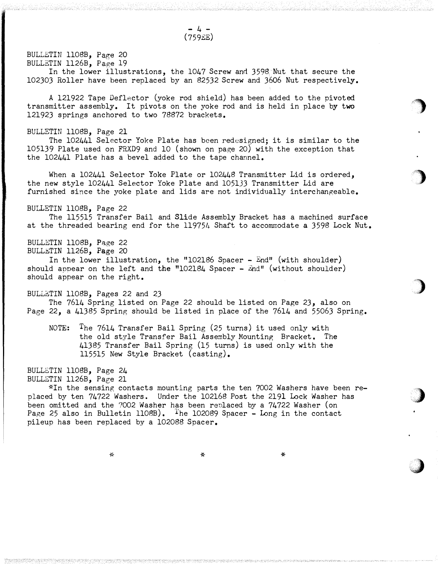- 4 - (759EE)

BULLETIN 1108B, Page 20 BULLETIN 1126B, Page 19

In the lower illustrations, the 1047 Screw and 3598 Nut that secure the 102303 Roller have been replaced by an 82532 Screw and 3606 Nut respectively.

A 121922 Tape Deflector (yoke rod shield) has been added to the pivoted transmitter assembly. It pivots on the yoke rod and is held in place by two 121923 springs anchored to two 78872 brackets.

BULLETIN 1108B, Page 21

The 102441 Selector Yoke Plate has been redesigned; it is similar to the 105139 Plate used on FRXD9 and 10 (shown on page 20) with the exception that the 102441 Plate has a bevel added to the tape channel.

When a 102441 Selector Yoke Plate or 102448 Transmitter Lid is ordered, the new style 102441 Selector Yoke Plate and 105133 Transmitter Lid are furnished since the yoke plate and lids are not individually interchangeable.

BULLETIN ll08B, Page 22

The 115515 Transfer Bail and Slide Assembly Bracket has a machined surface at the threaded bearing end for the 119754 Shaft to accommodate a 3598 Lock Nut.

BULLETIN 1108B, Page 22 BULLETIN 1126B, Page 20

In the lower illustration, the "102186 Spacer -  $End$ " (with shoulder) should appear on the left and the "102184 Spacer  $\hat{z}$ nd" (without shoulder) should appear on the right.

BULL�TIN 1108B, Pages 22 and 23

The 7614 Spring listed on Page 22 should be listed on Page 23, also on Page 22, a 41385 Spring should be listed in place of the 7614 and 55063 Spring.

NOTE: The 7614 Transfer Bail Spring (25 turns) it used only with the old style Transfer Bail Assembly Mounting Bracket. The 41385 Transfer Bail Spring (15 turns) is used only with the 115515 New Style Bracket (casting).

BULLETIN ll08B, Page 24 BULLETIN 1126B, Page 21

\*In the sensing contacts mounting parts the ten 7002 Washers have been replaced by ten 74722 Washers. Under the 102168 Post the 2191 Lock Washer has been omitted and the 7002 Washer has been replaced by a 74722 Washer (on Page 25 also in Bulletin 1108B). The 102089 Spacer - Long in the contact pileup has been replaced by a 102088 Spacer.

-�� \* \*

 $\mathcal{L}$ j

> �'). . .

> > )

)

·�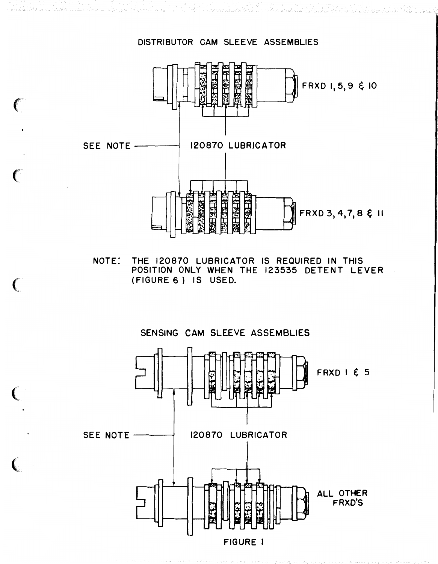

 $\mathcal{C}$ 

€

THE 120870 LUBRICATOR IS REQUIRED IN THIS NOTE: POSITION ONLY WHEN THE 123535 DETENT LEVER (FIGURE 6) IS USED.

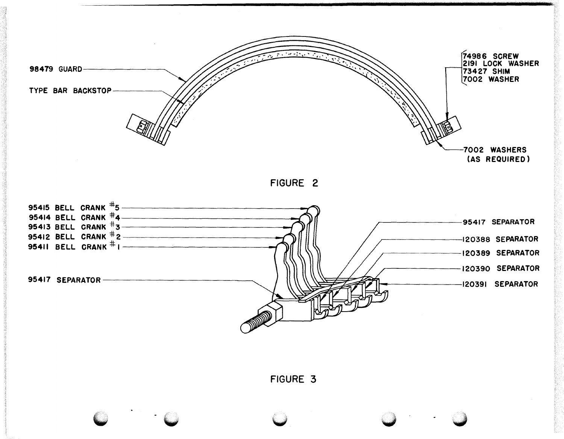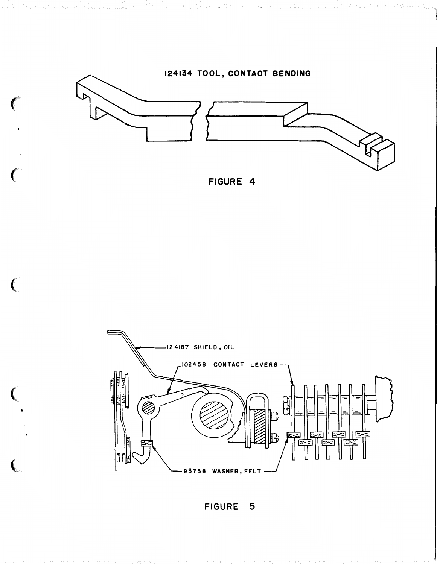

 $\big($ 

 $\overline{(\ }$ 

 $\big($ 





FIGURE 5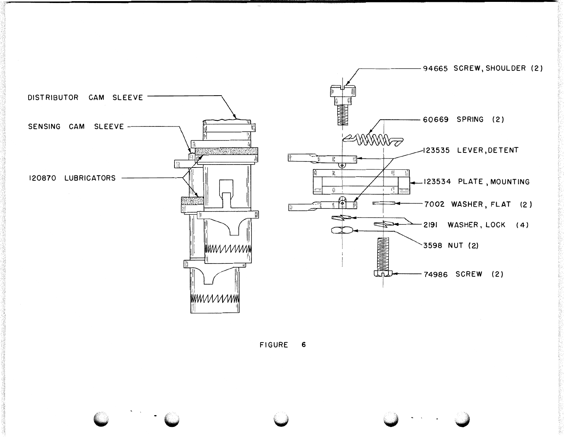

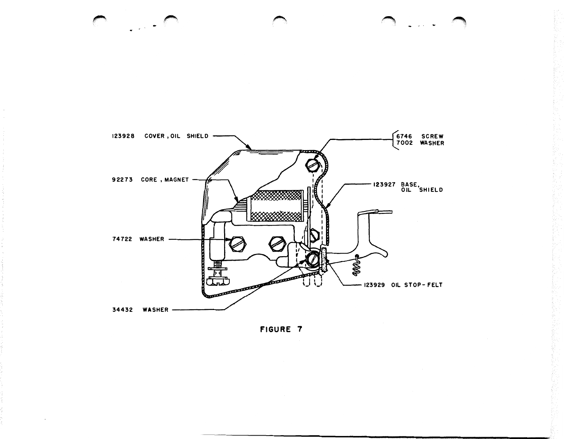

FIGURE 7